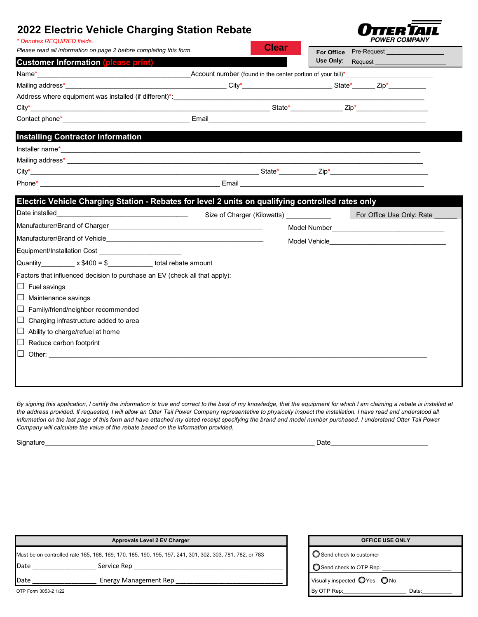# **2022 Electric Vehicle Charging Station Rebate**



| * Denotes REQUIRED fields.                                                                        |  |              |                                                                | <i>JWLN COMFAIL</i>                                                                                                                                                                                                                  |  |  |  |
|---------------------------------------------------------------------------------------------------|--|--------------|----------------------------------------------------------------|--------------------------------------------------------------------------------------------------------------------------------------------------------------------------------------------------------------------------------------|--|--|--|
| Please read all information on page 2 before completing this form.                                |  | <b>Clear</b> |                                                                | For Office Pre-Request                                                                                                                                                                                                               |  |  |  |
| <b>Customer Information (please print)</b>                                                        |  |              |                                                                | Use Only: Request                                                                                                                                                                                                                    |  |  |  |
|                                                                                                   |  |              |                                                                |                                                                                                                                                                                                                                      |  |  |  |
|                                                                                                   |  |              |                                                                |                                                                                                                                                                                                                                      |  |  |  |
| Address where equipment was installed (if different)*:                                            |  |              |                                                                |                                                                                                                                                                                                                                      |  |  |  |
|                                                                                                   |  |              |                                                                |                                                                                                                                                                                                                                      |  |  |  |
|                                                                                                   |  |              |                                                                | Email <b>Executive Contract Contract Contract Contract Contract Contract Contract Contract Contract Contract Contract Contract Contract Contract Contract Contract Contract Contract Contract Contract Contract Contract Contrac</b> |  |  |  |
| <b>Installing Contractor Information</b>                                                          |  |              |                                                                |                                                                                                                                                                                                                                      |  |  |  |
|                                                                                                   |  |              |                                                                |                                                                                                                                                                                                                                      |  |  |  |
|                                                                                                   |  |              |                                                                |                                                                                                                                                                                                                                      |  |  |  |
|                                                                                                   |  |              |                                                                |                                                                                                                                                                                                                                      |  |  |  |
|                                                                                                   |  |              |                                                                |                                                                                                                                                                                                                                      |  |  |  |
| Electric Vehicle Charging Station - Rebates for level 2 units on qualifying controlled rates only |  |              |                                                                |                                                                                                                                                                                                                                      |  |  |  |
| Date installed<br><u> 1989 - Johann Barnett, fransk politiker (d. 1989)</u>                       |  |              | Size of Charger (Kilowatts) <b>Size of Charger (Kilowatts)</b> | For Office Use Only: Rate                                                                                                                                                                                                            |  |  |  |
|                                                                                                   |  |              |                                                                |                                                                                                                                                                                                                                      |  |  |  |
|                                                                                                   |  |              |                                                                |                                                                                                                                                                                                                                      |  |  |  |
| Equipment/Installation Cost ______________________________                                        |  |              |                                                                |                                                                                                                                                                                                                                      |  |  |  |
| Quantity $x $400 = $$ total rebate amount                                                         |  |              |                                                                |                                                                                                                                                                                                                                      |  |  |  |
| Factors that influenced decision to purchase an EV (check all that apply):                        |  |              |                                                                |                                                                                                                                                                                                                                      |  |  |  |
| $\Box$ Fuel savings                                                                               |  |              |                                                                |                                                                                                                                                                                                                                      |  |  |  |
| $\Box$ Maintenance savings                                                                        |  |              |                                                                |                                                                                                                                                                                                                                      |  |  |  |
| $\Box$ Family/friend/neighbor recommended                                                         |  |              |                                                                |                                                                                                                                                                                                                                      |  |  |  |
| $\Box$ Charging infrastructure added to area                                                      |  |              |                                                                |                                                                                                                                                                                                                                      |  |  |  |
| $\Box$ Ability to charge/refuel at home                                                           |  |              |                                                                |                                                                                                                                                                                                                                      |  |  |  |
| $\Box$ Reduce carbon footprint                                                                    |  |              |                                                                |                                                                                                                                                                                                                                      |  |  |  |
|                                                                                                   |  |              |                                                                |                                                                                                                                                                                                                                      |  |  |  |
|                                                                                                   |  |              |                                                                |                                                                                                                                                                                                                                      |  |  |  |
|                                                                                                   |  |              |                                                                |                                                                                                                                                                                                                                      |  |  |  |

*By signing this application, I certify the information is true and correct to the best of my knowledge, that the equipment for which I am claiming a rebate is installed at*  the address provided. If requested, I will allow an Otter Tail Power Company representative to physically inspect the installation. I have read and understood all information on the last page of this form and have attached my dated receipt specifying the brand and model number purchased. I understand Otter Tail Power *Company will calculate the value of the rebate based on the information provided.*

Signature\_\_\_\_\_\_\_\_\_\_\_\_\_\_\_\_\_\_\_\_\_\_\_\_\_\_\_\_\_\_\_\_\_\_\_\_\_\_\_\_\_\_\_\_\_\_\_\_\_\_\_\_\_\_\_\_\_\_\_\_\_\_\_\_\_\_\_\_\_\_\_\_ Date\_\_\_\_\_\_\_\_\_\_\_\_\_\_\_\_\_\_\_\_\_\_\_\_\_\_

| Approvals Level 2 EV Charger                                                                            |                       |  | <b>OFFICE USE ONLY</b>                          |
|---------------------------------------------------------------------------------------------------------|-----------------------|--|-------------------------------------------------|
| Must be on controlled rate 165, 168, 169, 170, 185, 190, 195, 197, 241, 301, 302, 303, 781, 782, or 783 |                       |  | ■ ● Send check to customer                      |
| Date                                                                                                    | Service Rep           |  | Send check to OTP Rep:                          |
| Date                                                                                                    | Energy Management Rep |  | Visually inspected $\bigcirc$ Yes $\bigcirc$ No |
| OTP Form 3053-2 1/22                                                                                    |                       |  | By OTP Rep:<br>Date:                            |

| <b>OFFICE USE ONLY</b>                          |       |  |  |  |  |
|-------------------------------------------------|-------|--|--|--|--|
|                                                 |       |  |  |  |  |
| $\bigcirc$ Send check to customer               |       |  |  |  |  |
| $\bigcirc$ Send check to OTP Rep: $\_$          |       |  |  |  |  |
| (isually inspected $\bigcirc$ Yes $\bigcirc$ No |       |  |  |  |  |
| Iv OTP Rep:                                     | Date: |  |  |  |  |